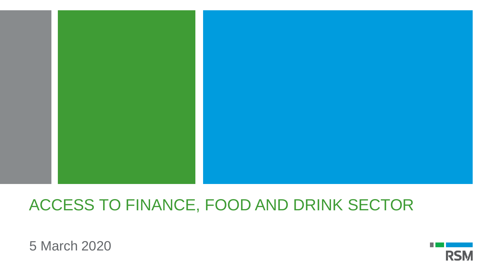

## ACCESS TO FINANCE, FOOD AND DRINK SECTOR

5 March 2020

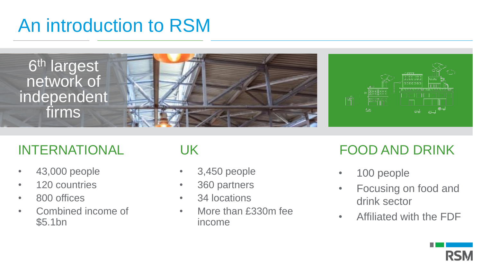# An introduction to RSM



- 43,000 people
- 120 countries
- 800 offices
- Combined income of \$5.1bn

- 3,450 people
- 360 partners
- 34 locations
- More than £330m fee income

## INTERNATIONAL UK FOOD AND DRINK

- 100 people
- Focusing on food and drink sector
- Affiliated with the FDF

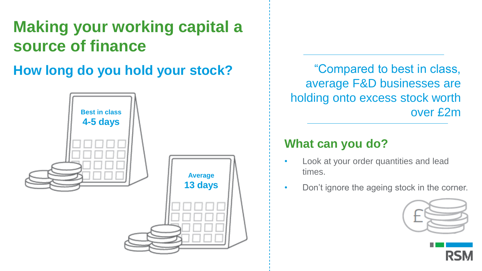# **Making your working capital a source of finance**

**How long do you hold your stock?**



"Compared to best in class, average F&D businesses are holding onto excess stock worth over £2m

- Look at your order quantities and lead times.
- Don't ignore the ageing stock in the corner.



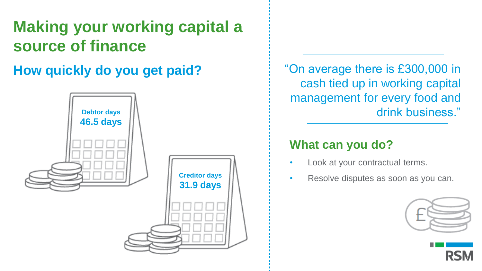# **Making your working capital a source of finance**

## **How quickly do you get paid?**



"On average there is £300,000 in cash tied up in working capital management for every food and drink business."

- Look at your contractual terms.
- Resolve disputes as soon as you can.



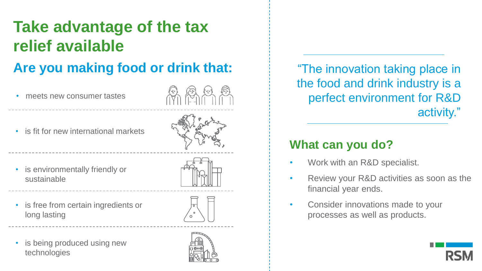# **Take advantage of the tax relief available**

## **Are you making food or drink that:**

- meets new consumer tastes
- is fit for new international markets



- is environmentally friendly or sustainable
- is free from certain ingredients or long lasting



is being produced using new technologies



"The innovation taking place in the food and drink industry is a perfect environment for R&D activity."

- Work with an R&D specialist.
- Review your R&D activities as soon as the financial year ends.
- Consider innovations made to your processes as well as products.

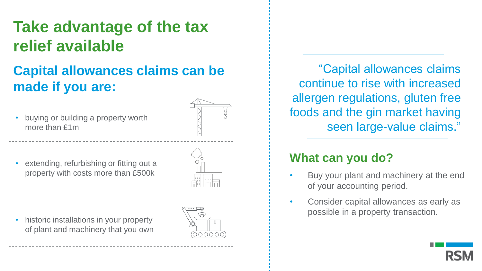## **Take advantage of the tax relief available**

## **Capital allowances claims can be made if you are:**

• buying or building a property worth more than £1m



extending, refurbishing or fitting out a property with costs more than £500k

• historic installations in your property of plant and machinery that you own



"Capital allowances claims continue to rise with increased allergen regulations, gluten free foods and the gin market having seen large-value claims."

- Buy your plant and machinery at the end of your accounting period.
- Consider capital allowances as early as possible in a property transaction.

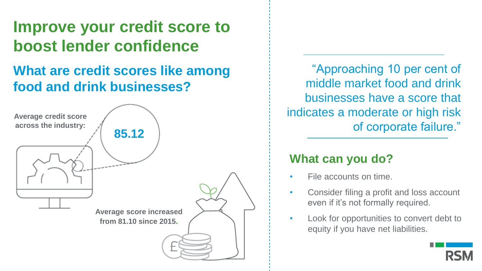## **Improve your credit score to boost lender confidence**

## **What are credit scores like among food and drink businesses?**



"Approaching 10 per cent of middle market food and drink businesses have a score that indicates a moderate or high risk of corporate failure."

- File accounts on time.
- Consider filing a profit and loss account even if it's not formally required.
- Look for opportunities to convert debt to equity if you have net liabilities.

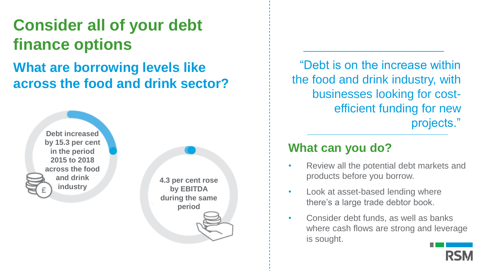# **Consider all of your debt finance options**

## **What are borrowing levels like across the food and drink sector?**

**Debt increased by 15.3 per cent in the period 2015 to 2018 across the food and drink industry**

**4.3 per cent rose by EBITDA during the same period**

"Debt is on the increase within the food and drink industry, with businesses looking for costefficient funding for new projects."

- Review all the potential debt markets and products before you borrow.
- Look at asset-based lending where there's a large trade debtor book.
- Consider debt funds, as well as banks where cash flows are strong and leverage is sought.

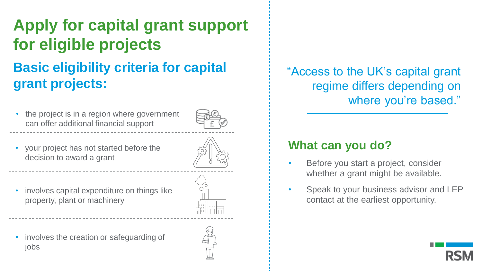# **Basic eligibility criteria for capital grant projects: Apply for capital grant support for eligible projects**

• the project is in a region where government can offer additional financial support



- your project has not started before the decision to award a grant
- involves capital expenditure on things like property, plant or machinery





"Access to the UK's capital grant regime differs depending on where you're based."

- Before you start a project, consider whether a grant might be available.
- Speak to your business advisor and LEP contact at the earliest opportunity.

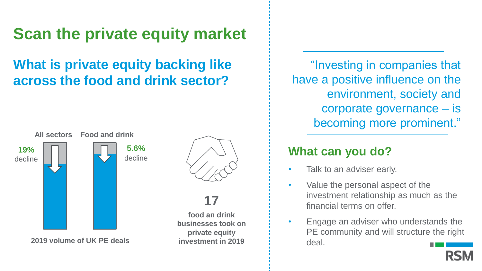# **Scan the private equity market**

## **What is private equity backing like across the food and drink sector?**



**2019 volume of UK PE deals**



## **17**

**food an drink businesses took on private equity investment in 2019**

"Investing in companies that have a positive influence on the environment, society and corporate governance – is becoming more prominent."

- Talk to an adviser early.
- Value the personal aspect of the investment relationship as much as the financial terms on offer.
- Engage an adviser who understands the PE community and will structure the right deal.

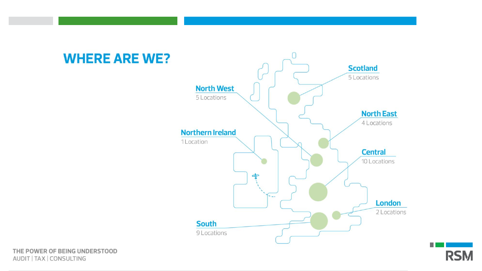





THE POWER OF BEING UNDERSTOOD AUDIT | TAX | CONSULTING